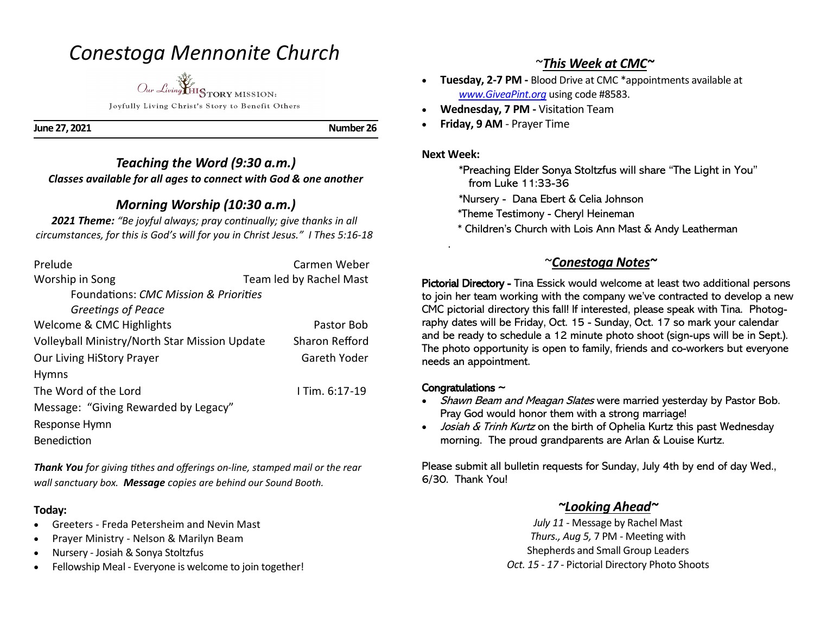# *Conestoga Mennonite Church*

*Our Living* HISTORY MISSION: Joyfully Living Christ's Story to Benefit Others

**June 27, 2021 Number 26** 

### *Teaching the Word (9:30 a.m.) Classes available for all ages to connect with God & one another*

# *Morning Worship (10:30 a.m.)*

*2021 Theme: "Be joyful always; pray continually; give thanks in all circumstances, for this is God's will for you in Christ Jesus." I Thes 5:16-18*

| Prelude                                          | Carmen Weber            |
|--------------------------------------------------|-------------------------|
| Worship in Song                                  | Team led by Rachel Mast |
| <b>Foundations: CMC Mission &amp; Priorities</b> |                         |
| Greetings of Peace                               |                         |
| Welcome & CMC Highlights                         | Pastor Bob              |
| Volleyball Ministry/North Star Mission Update    | <b>Sharon Refford</b>   |
| <b>Our Living HiStory Prayer</b>                 | Gareth Yoder            |
| <b>Hymns</b>                                     |                         |
| The Word of the Lord                             | I Tim. 6:17-19          |
| Message: "Giving Rewarded by Legacy"             |                         |
| Response Hymn                                    |                         |
| <b>Benediction</b>                               |                         |

*Thank You for giving tithes and offerings on-line, stamped mail or the rear wall sanctuary box. Message copies are behind our Sound Booth.*

### **Today:**

- Greeters Freda Petersheim and Nevin Mast
- Prayer Ministry Nelson & Marilyn Beam
- Nursery Josiah & Sonya Stoltzfus
- Fellowship Meal Everyone is welcome to join together!

## ~*This Week at CMC~*

- **Tuesday, 2-7 PM -** Blood Drive at CMC \*appointments available at *www.GiveaPint.org* using code #8583.
- **Wednesday, 7 PM -** Visitation Team
- **Friday, 9 AM**  Prayer Time

#### **Next Week:**

.

 \*Preaching Elder Sonya Stoltzfus will share "The Light in You" from Luke 11:33-36

\*Nursery - Dana Ebert & Celia Johnson

\*Theme Testimony - Cheryl Heineman

\* Children's Church with Lois Ann Mast & Andy Leatherman

### ~*Conestoga Notes~*

Pictorial Directory - Tina Essick would welcome at least two additional persons to join her team working with the company we've contracted to develop a new CMC pictorial directory this fall! If interested, please speak with Tina. Photography dates will be Friday, Oct. 15 - Sunday, Oct. 17 so mark your calendar and be ready to schedule a 12 minute photo shoot (sign-ups will be in Sept.). The photo opportunity is open to family, friends and co-workers but everyone needs an appointment.

### Congratulations  $\sim$

- Shawn Beam and Meagan Slates were married yesterday by Pastor Bob. Pray God would honor them with a strong marriage!
- *Josiah & Trinh Kurtz* on the birth of Ophelia Kurtz this past Wednesday morning. The proud grandparents are Arlan & Louise Kurtz.

Please submit all bulletin requests for Sunday, July 4th by end of day Wed., 6/30. Thank You!

### *~Looking Ahead~*

*July 11* - Message by Rachel Mast *Thurs., Aug 5,* 7 PM - Meeting with Shepherds and Small Group Leaders *Oct. 15 - 17 -* Pictorial Directory Photo Shoots